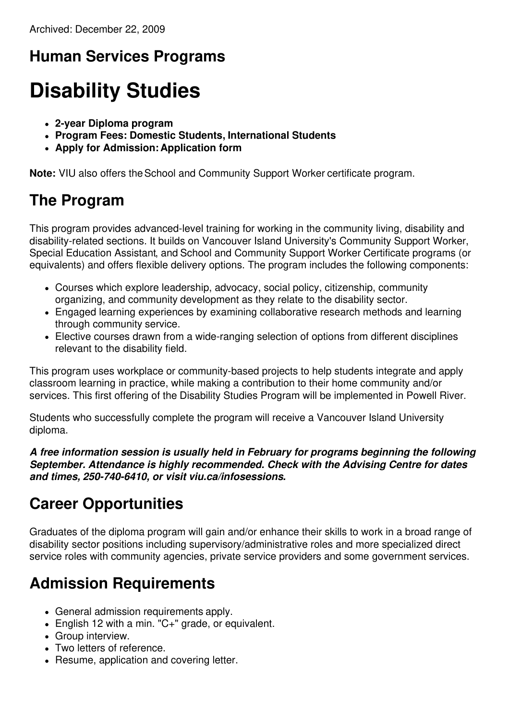### **Human Services Programs**

# **Disability Studies**

- **2-year Diploma program**
- **Program Fees: Domestic Students, International Students**
- **Apply for Admission: Application form**

**Note:** VIU also offers the School and Community Support Worker certificate program.

#### **The Program**

This program provides advanced-level training for working in the community living, disability and disability-related sections. It builds on Vancouver Island University's Community Support Worker, Special Education Assistant, and School and Community Support Worker Certificate programs (or equivalents) and offers flexible delivery options. The program includes the following components:

- Courses which explore leadership, advocacy, social policy, citizenship, community organizing, and community development as they relate to the disability sector.
- Engaged learning experiences by examining collaborative research methods and learning through community service.
- Elective courses drawn from a wide-ranging selection of options from different disciplines relevant to the disability field.

This program uses workplace or community-based projects to help students integrate and apply classroom learning in practice, while making a contribution to their home community and/or services. This first offering of the Disability Studies Program will be implemented in Powell River.

Students who successfully complete the program will receive a Vancouver Island University diploma.

*A free information session is usually held in February for programs beginning the following September. Attendance is highly recommended. Check with the Advising Centre for dates and times, 250-740-6410, or visit viu.ca/infosessions.*

#### **Career Opportunities**

Graduates of the diploma program will gain and/or enhance their skills to work in a broad range of disability sector positions including supervisory/administrative roles and more specialized direct service roles with community agencies, private service providers and some government services.

#### **Admission Requirements**

- General admission requirements apply.
- English 12 with a min. "C+" grade, or equivalent.
- Group interview.
- Two letters of reference.
- Resume, application and covering letter.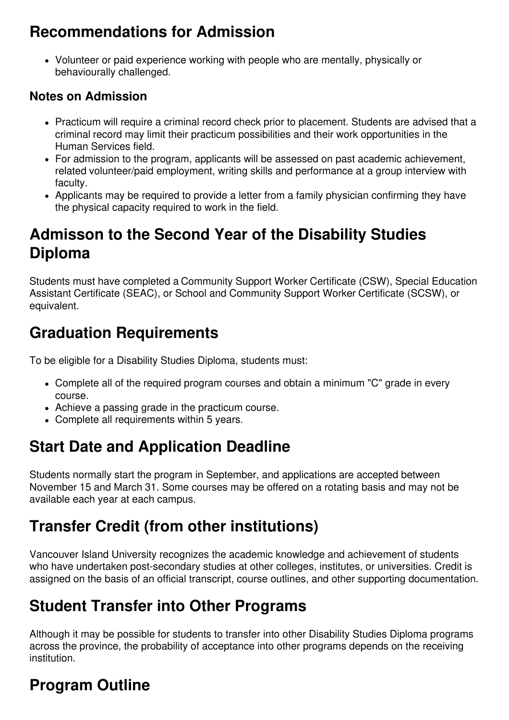#### **Recommendations for Admission**

Volunteer or paid experience working with people who are mentally, physically or behaviourally challenged.

#### **Notes on Admission**

- Practicum will require a criminal record check prior to placement. Students are advised that a criminal record may limit their practicum possibilities and their work opportunities in the Human Services field.
- For admission to the program, applicants will be assessed on past academic achievement, related volunteer/paid employment, writing skills and performance at a group interview with faculty.
- Applicants may be required to provide a letter from a family physician confirming they have the physical capacity required to work in the field.

#### **Admisson to the Second Year of the Disability Studies Diploma**

Students must have completed a Community Support Worker Certificate (CSW), Special Education Assistant Certificate (SEAC), or School and Community Support Worker Certificate (SCSW), or equivalent.

#### **Graduation Requirements**

To be eligible for a Disability Studies Diploma, students must:

- Complete all of the required program courses and obtain a minimum "C" grade in every course.
- Achieve a passing grade in the practicum course.
- Complete all requirements within 5 years.

## **Start Date and Application Deadline**

Students normally start the program in September, and applications are accepted between November 15 and March 31. Some courses may be offered on a rotating basis and may not be available each year at each campus.

#### **Transfer Credit (from other institutions)**

Vancouver Island University recognizes the academic knowledge and achievement of students who have undertaken post-secondary studies at other colleges, institutes, or universities. Credit is assigned on the basis of an official transcript, course outlines, and other supporting documentation.

#### **Student Transfer into Other Programs**

Although it may be possible for students to transfer into other Disability Studies Diploma programs across the province, the probability of acceptance into other programs depends on the receiving institution.

# **Program Outline**